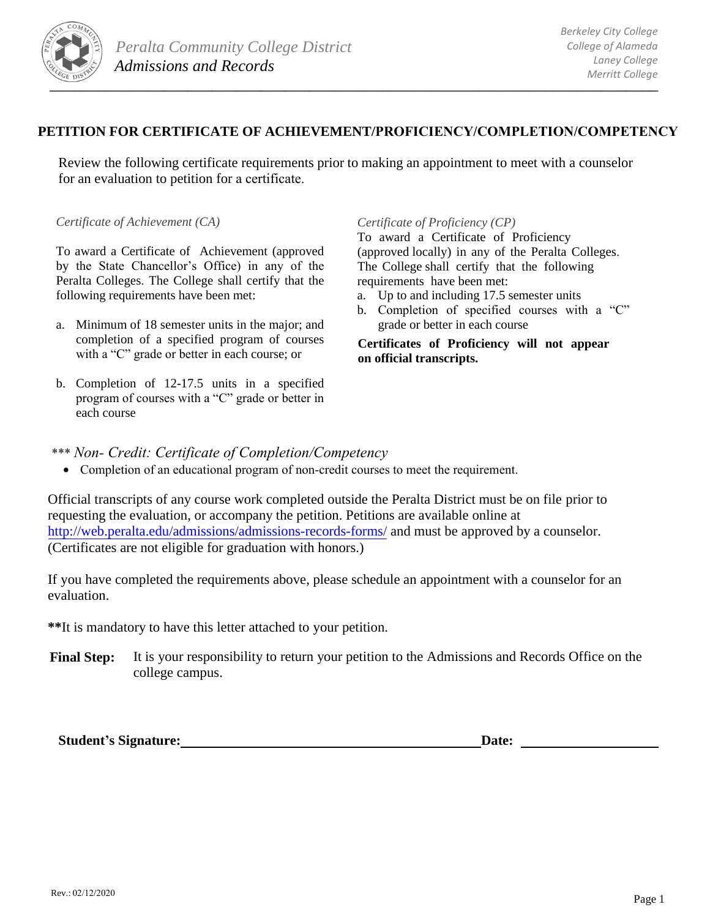

## **PETITION FOR CERTIFICATE OF ACHIEVEMENT/PROFICIENCY/COMPLETION/COMPETENCY**

Review the following certificate requirements prior to making an appointment to meet with a counselor for an evaluation to petition for a certificate.

*Certificate of Achievement (CA)*

To award a Certificate of Achievement (approved by the State Chancellor's Office) in any of the Peralta Colleges. The College shall certify that the following requirements have been met:

- a. Minimum of 18 semester units in the major; and completion of a specified program of courses with a "C" grade or better in each course; or
- b. Completion of 12-17.5 units in a specified program of courses with a "C" grade or better in each course

## *Certificate of Proficiency (CP)*

To award a Certificate of Proficiency (approved locally) in any of the Peralta Colleges. The College shall certify that the following requirements have been met:

- a. Up to and including 17.5 semester units
- b. Completion of specified courses with a "C" grade or better in each course

**Certificates of Proficiency will not appear on official transcripts.** 

- \*\*\* *Non- Credit: Certificate of Completion/Competency* 
	- Completion of an educational program of non-credit courses to meet the requirement.

[Official transcripts of any course work completed outside the P](http://web.peralta.edu/admissions/admissions-records-forms/)eralta District must be on file prior to requesting the evaluation, or accompany the petition. Petitions are available online at http://web.peralta.edu/admissions/admissions-records-forms/ and must be approved by a counselor. (Certificates are not eligible for graduation with honors.)

If you have completed the requirements above, please schedule an appointment with a counselor for an evaluation.

**\*\***It is mandatory to have this letter attached to your petition.

**Final Step:** It is your responsibility to return your petition to the Admissions and Records Office on the college campus.

**Student's Signature:** Date: